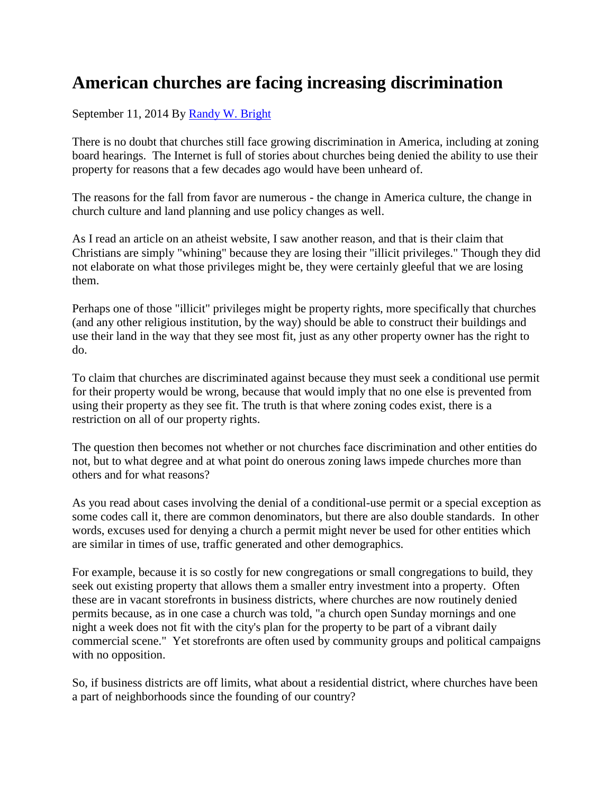## **American churches are facing increasing discrimination**

September 11, 2014 By [Randy W. Bright](http://www.tulsabeacon.com/author/slug-o6yd1v)

There is no doubt that churches still face growing discrimination in America, including at zoning board hearings. The Internet is full of stories about churches being denied the ability to use their property for reasons that a few decades ago would have been unheard of.

The reasons for the fall from favor are numerous - the change in America culture, the change in church culture and land planning and use policy changes as well.

As I read an article on an atheist website, I saw another reason, and that is their claim that Christians are simply "whining" because they are losing their "illicit privileges." Though they did not elaborate on what those privileges might be, they were certainly gleeful that we are losing them.

Perhaps one of those "illicit" privileges might be property rights, more specifically that churches (and any other religious institution, by the way) should be able to construct their buildings and use their land in the way that they see most fit, just as any other property owner has the right to do.

To claim that churches are discriminated against because they must seek a conditional use permit for their property would be wrong, because that would imply that no one else is prevented from using their property as they see fit. The truth is that where zoning codes exist, there is a restriction on all of our property rights.

The question then becomes not whether or not churches face discrimination and other entities do not, but to what degree and at what point do onerous zoning laws impede churches more than others and for what reasons?

As you read about cases involving the denial of a conditional-use permit or a special exception as some codes call it, there are common denominators, but there are also double standards. In other words, excuses used for denying a church a permit might never be used for other entities which are similar in times of use, traffic generated and other demographics.

For example, because it is so costly for new congregations or small congregations to build, they seek out existing property that allows them a smaller entry investment into a property. Often these are in vacant storefronts in business districts, where churches are now routinely denied permits because, as in one case a church was told, "a church open Sunday mornings and one night a week does not fit with the city's plan for the property to be part of a vibrant daily commercial scene." Yet storefronts are often used by community groups and political campaigns with no opposition.

So, if business districts are off limits, what about a residential district, where churches have been a part of neighborhoods since the founding of our country?